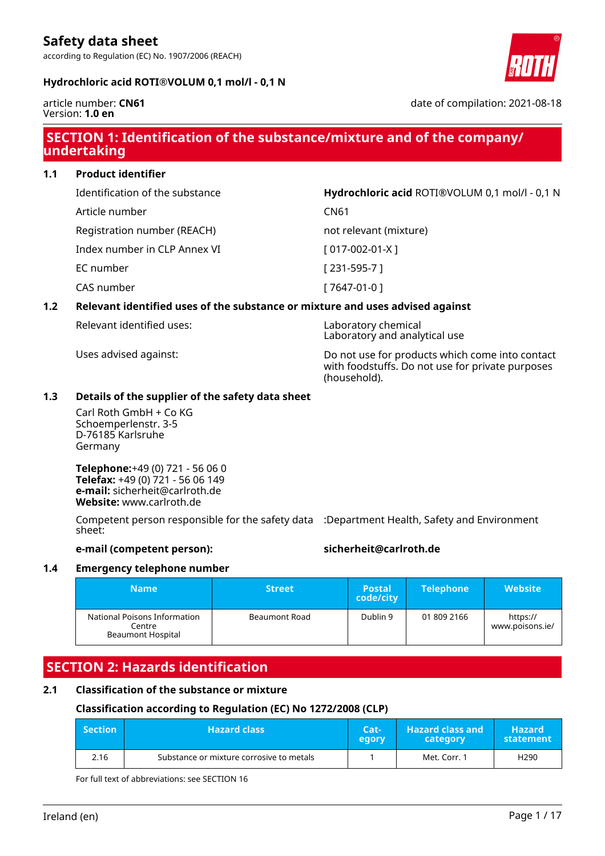according to Regulation (EC) No. 1907/2006 (REACH)

#### **Hydrochloric acid ROTI®VOLUM 0,1 mol/l - 0,1 N**



article number: **CN61** Version: **1.0 en**

date of compilation: 2021-08-18

# **SECTION 1: Identification of the substance/mixture and of the company/ undertaking**

**1.1 Product identifier**

Identification of the substance **Hydrochloric acid** ROTI®VOLUM 0,1 mol/l - 0,1 N

Article number CN61

Registration number (REACH) not relevant (mixture)

Index number in CLP Annex VI [ 017-002-01-X ]

EC number [ 231-595-7 ]

CAS number [ 7647-01-0 ]

#### **1.2 Relevant identified uses of the substance or mixture and uses advised against**

Relevant identified uses: Laboratory chemical

Laboratory and analytical use Uses advised against: Do not use for products which come into contact with foodstuffs. Do not use for private purposes

#### **1.3 Details of the supplier of the safety data sheet**

Carl Roth GmbH + Co KG Schoemperlenstr. 3-5 D-76185 Karlsruhe Germany

**Telephone:**+49 (0) 721 - 56 06 0 **Telefax:** +49 (0) 721 - 56 06 149 **e-mail:** sicherheit@carlroth.de **Website:** www.carlroth.de

Competent person responsible for the safety data :Department Health, Safety and Environment sheet:

#### **e-mail (competent person): sicherheit@carlroth.de**

(household).

#### **1.4 Emergency telephone number**

| Name                                                               | <b>Street</b> | <b>Postal</b><br>code/city | <b>Telephone</b> | <b>Website</b>              |
|--------------------------------------------------------------------|---------------|----------------------------|------------------|-----------------------------|
| National Poisons Information<br>Centre<br><b>Beaumont Hospital</b> | Beaumont Road | Dublin 9                   | 01 809 2166      | https://<br>www.poisons.ie/ |

### **SECTION 2: Hazards identification**

#### **2.1 Classification of the substance or mixture**

#### **Classification according to Regulation (EC) No 1272/2008 (CLP)**

| $\blacksquare$ Section | <b>Hazard class</b>                      | Cat-<br>egory | <b>Hazard class and</b><br>category | <b>Hazard</b><br>statement |
|------------------------|------------------------------------------|---------------|-------------------------------------|----------------------------|
| 2.16                   | Substance or mixture corrosive to metals |               | Met. Corr. 1                        | H <sub>290</sub>           |

For full text of abbreviations: see SECTION 16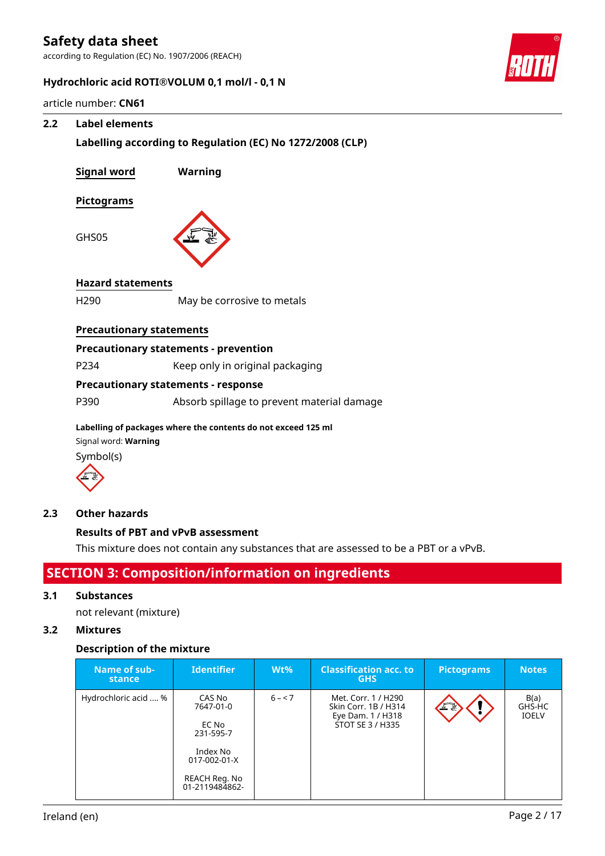according to Regulation (EC) No. 1907/2006 (REACH)



#### **Hydrochloric acid ROTI®VOLUM 0,1 mol/l - 0,1 N**

article number: **CN61**

#### **2.2 Label elements**

**Labelling according to Regulation (EC) No 1272/2008 (CLP)**

| <b>Signal word</b>              | Warning                                      |
|---------------------------------|----------------------------------------------|
| <b>Pictograms</b>               |                                              |
| GHS05                           |                                              |
| <b>Hazard statements</b>        |                                              |
| H <sub>290</sub>                | May be corrosive to metals                   |
|                                 |                                              |
| <b>Precautionary statements</b> |                                              |
|                                 | <b>Precautionary statements - prevention</b> |
| P234                            | Keep only in original packaging              |
|                                 | <b>Precautionary statements - response</b>   |

Signal word: **Warning**





#### **2.3 Other hazards**

### **Results of PBT and vPvB assessment**

This mixture does not contain any substances that are assessed to be a PBT or a vPvB.

## **SECTION 3: Composition/information on ingredients**

#### **3.1 Substances**

not relevant (mixture)

#### **3.2 Mixtures**

#### **Description of the mixture**

| Name of sub-<br>stance | <b>Identifier</b>                                                                                        | $Wt\%$   | <b>Classification acc. to</b><br><b>GHS</b>                                                 | <b>Pictograms</b> | <b>Notes</b>                   |
|------------------------|----------------------------------------------------------------------------------------------------------|----------|---------------------------------------------------------------------------------------------|-------------------|--------------------------------|
| Hydrochloric acid  %   | CAS No<br>7647-01-0<br>EC No<br>231-595-7<br>Index No<br>017-002-01-X<br>REACH Reg. No<br>01-2119484862- | $6 - 57$ | Met. Corr. 1 / H290<br>Skin Corr. 1B / H314<br>Eye Dam. 1 / H318<br><b>STOT SE 3 / H335</b> | 半瓷                | B(a)<br>GHS-HC<br><b>IOELV</b> |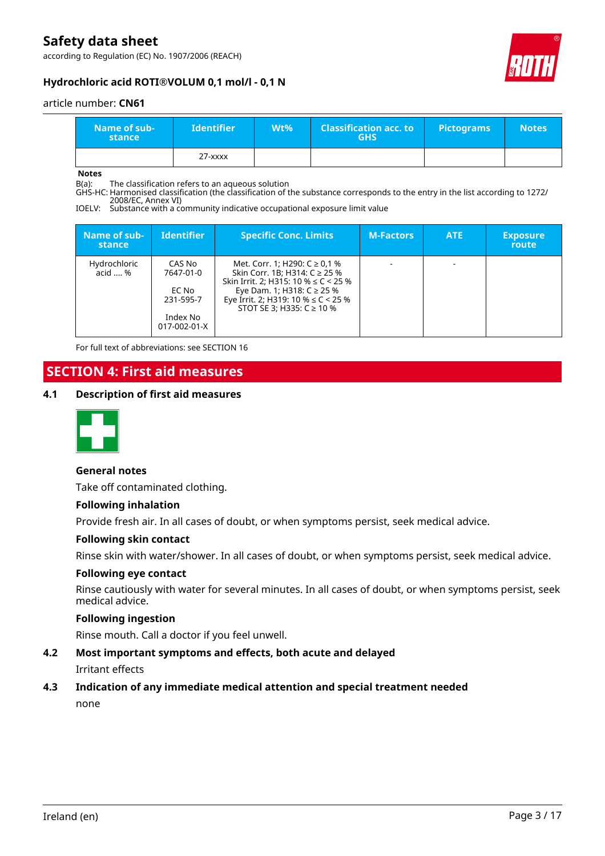according to Regulation (EC) No. 1907/2006 (REACH)



#### **Hydrochloric acid ROTI®VOLUM 0,1 mol/l - 0,1 N**

article number: **CN61**

| Name of sub-<br>stance | <b>Identifier</b> | Wt% | <b>Classification acc. to</b><br><b>GHS</b> | <b>Pictograms</b> | <b>Notes</b> |
|------------------------|-------------------|-----|---------------------------------------------|-------------------|--------------|
|                        | $27 - XXXX$       |     |                                             |                   |              |

**Notes**

B(a): The classification refers to an aqueous solution

GHS-HC: Harmonised classification (the classification of the substance corresponds to the entry in the list according to 1272/ 2008/EC, Annex VI)

IOELV: Substance with a community indicative occupational exposure limit value

| Name of sub-<br>stance  | <b>Identifier</b>                                                     | <b>Specific Conc. Limits</b>                                                                                                                                                                                                 | <b>M-Factors</b> | <b>ATE</b> | <b>Exposure</b><br>route |
|-------------------------|-----------------------------------------------------------------------|------------------------------------------------------------------------------------------------------------------------------------------------------------------------------------------------------------------------------|------------------|------------|--------------------------|
| Hydrochloric<br>acid  % | CAS No<br>7647-01-0<br>EC No<br>231-595-7<br>Index No<br>017-002-01-X | Met. Corr. 1; H290: $C \ge 0.1$ %<br>Skin Corr. 1B; H314: C ≥ 25 %<br>Skin Irrit. 2; H315: 10 % $\leq$ C < 25 %<br>Eye Dam. 1; H318: $C$ ≥ 25 %<br>Eye Irrit. 2; H319: 10 % $\leq$ C < 25 %<br>STOT SE 3; H335: $C \ge 10$ % |                  |            |                          |

For full text of abbreviations: see SECTION 16

## **SECTION 4: First aid measures**

#### **4.1 Description of first aid measures**



#### **General notes**

Take off contaminated clothing.

#### **Following inhalation**

Provide fresh air. In all cases of doubt, or when symptoms persist, seek medical advice.

#### **Following skin contact**

Rinse skin with water/shower. In all cases of doubt, or when symptoms persist, seek medical advice.

#### **Following eye contact**

Rinse cautiously with water for several minutes. In all cases of doubt, or when symptoms persist, seek medical advice.

#### **Following ingestion**

Rinse mouth. Call a doctor if you feel unwell.

### **4.2 Most important symptoms and effects, both acute and delayed** Irritant effects

#### **4.3 Indication of any immediate medical attention and special treatment needed**

none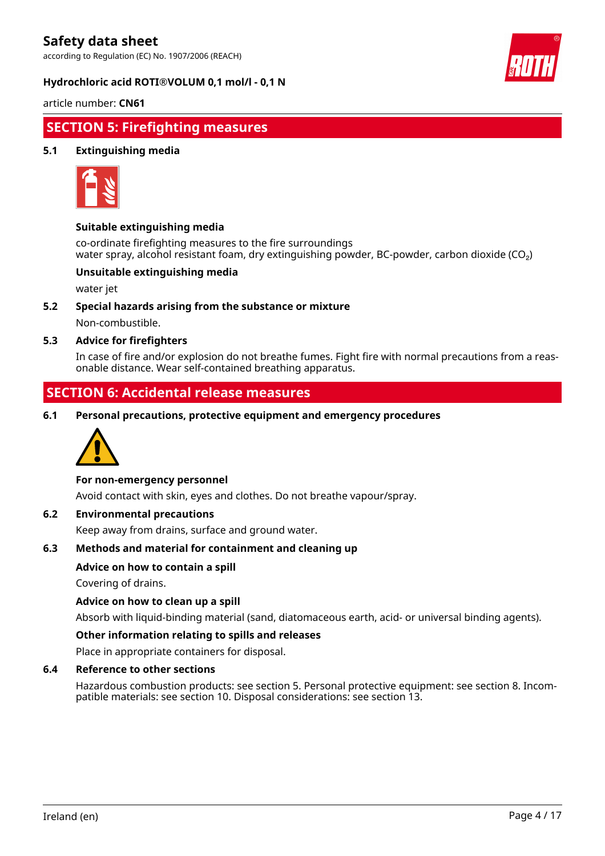according to Regulation (EC) No. 1907/2006 (REACH)

#### **Hydrochloric acid ROTI®VOLUM 0,1 mol/l - 0,1 N**



article number: **CN61**

### **SECTION 5: Firefighting measures**

#### **5.1 Extinguishing media**



#### **Suitable extinguishing media**

co-ordinate firefighting measures to the fire surroundings water spray, alcohol resistant foam, dry extinguishing powder, BC-powder, carbon dioxide (CO<sub>2</sub>)

#### **Unsuitable extinguishing media**

water jet

**5.2 Special hazards arising from the substance or mixture**

Non-combustible.

#### **5.3 Advice for firefighters**

In case of fire and/or explosion do not breathe fumes. Fight fire with normal precautions from a reasonable distance. Wear self-contained breathing apparatus.

### **SECTION 6: Accidental release measures**

**6.1 Personal precautions, protective equipment and emergency procedures**



#### **For non-emergency personnel**

Avoid contact with skin, eyes and clothes. Do not breathe vapour/spray.

#### **6.2 Environmental precautions**

Keep away from drains, surface and ground water.

#### **6.3 Methods and material for containment and cleaning up**

#### **Advice on how to contain a spill**

Covering of drains.

#### **Advice on how to clean up a spill**

Absorb with liquid-binding material (sand, diatomaceous earth, acid- or universal binding agents).

#### **Other information relating to spills and releases**

Place in appropriate containers for disposal.

#### **6.4 Reference to other sections**

Hazardous combustion products: see section 5. Personal protective equipment: see section 8. Incompatible materials: see section 10. Disposal considerations: see section 13.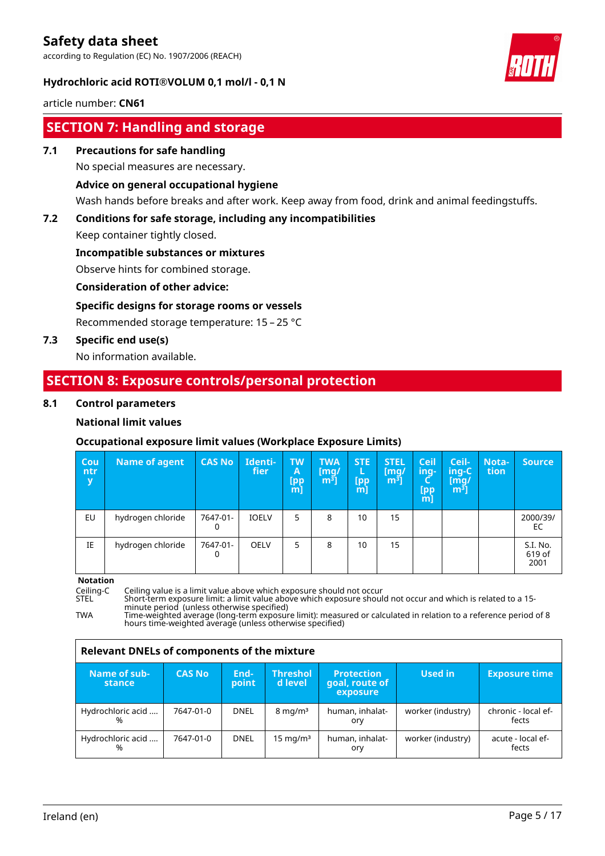according to Regulation (EC) No. 1907/2006 (REACH)

#### **Hydrochloric acid ROTI®VOLUM 0,1 mol/l - 0,1 N**



article number: **CN61**

# **SECTION 7: Handling and storage**

#### **7.1 Precautions for safe handling**

No special measures are necessary.

#### **Advice on general occupational hygiene**

Wash hands before breaks and after work. Keep away from food, drink and animal feedingstuffs.

### **7.2 Conditions for safe storage, including any incompatibilities**

Keep container tightly closed.

#### **Incompatible substances or mixtures**

Observe hints for combined storage.

#### **Consideration of other advice:**

#### **Specific designs for storage rooms or vessels**

Recommended storage temperature: 15 – 25 °C

#### **7.3 Specific end use(s)**

No information available.

### **SECTION 8: Exposure controls/personal protection**

#### **8.1 Control parameters**

#### **National limit values**

#### **Occupational exposure limit values (Workplace Exposure Limits)**

| Cou<br>ntr<br>$\mathbf{y}$ | <b>Name of agent</b> | <b>CAS No</b> | Identi-<br>fier | <b>TW</b><br>A<br>[pp<br>[m] | <b>TWA</b><br>[mq/<br>m <sup>3</sup> | <b>STE</b><br>L<br>[pp<br>m | <b>STEL</b><br>$\mathsf{[mq]}$<br>m <sup>3</sup> | Ceil<br>ing-<br>[pp<br>$m$ ] | Ceil-<br>ing-C<br>$\lceil \mathsf{mq} \rceil$<br>m <sup>3</sup> | <b>Nota-</b><br>tion | <b>Source</b>              |
|----------------------------|----------------------|---------------|-----------------|------------------------------|--------------------------------------|-----------------------------|--------------------------------------------------|------------------------------|-----------------------------------------------------------------|----------------------|----------------------------|
| EU                         | hydrogen chloride    | 7647-01-<br>0 | <b>IOELV</b>    | 5                            | 8                                    | 10                          | 15                                               |                              |                                                                 |                      | 2000/39/<br>EC             |
| IE                         | hydrogen chloride    | 7647-01-<br>0 | <b>OELV</b>     | 5                            | 8                                    | 10                          | 15                                               |                              |                                                                 |                      | S.I. No.<br>619 of<br>2001 |

#### **Notation**

Ceiling-C Ceiling value is a limit value above which exposure should not occur<br>STEL Short-term exposure limit: a limit value above which exposure shoul

STEL Short-term exposure limit: a limit value above which exposure should not occur and which is related to a 15 minute period (unless otherwise specified)

TWA Time-weighted average (long-term exposure limit): measured or calculated in relation to a reference period of 8 hours time-weighted average (unless otherwise specified)

| Relevant DNELs of components of the mixture |               |               |                            |                                                 |                   |                              |  |  |  |
|---------------------------------------------|---------------|---------------|----------------------------|-------------------------------------------------|-------------------|------------------------------|--|--|--|
| Name of sub-<br>stance                      | <b>CAS No</b> | End-<br>point | <b>Threshol</b><br>d level | <b>Protection</b><br>goal, route of<br>exposure | Used in           | <b>Exposure time</b>         |  |  |  |
| Hydrochloric acid<br>%                      | 7647-01-0     | <b>DNEL</b>   | $8 \text{ mg/m}^3$         | human, inhalat-<br>ory                          | worker (industry) | chronic - local ef-<br>fects |  |  |  |
| Hydrochloric acid<br>%                      | 7647-01-0     | <b>DNEL</b>   | 15 mg/m $3$                | human, inhalat-<br>ory                          | worker (industry) | acute - local ef-<br>fects   |  |  |  |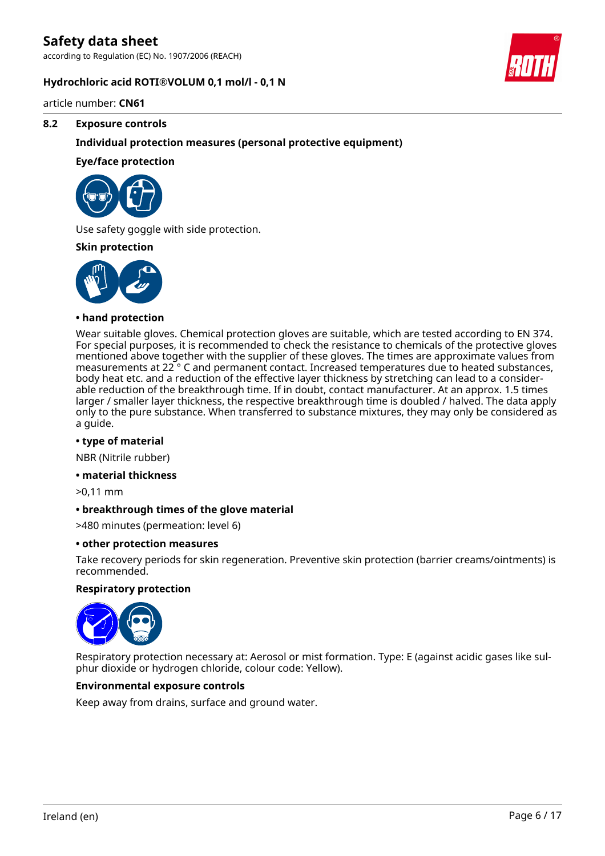according to Regulation (EC) No. 1907/2006 (REACH)

#### **Hydrochloric acid ROTI®VOLUM 0,1 mol/l - 0,1 N**



article number: **CN61**

#### **8.2 Exposure controls**

#### **Individual protection measures (personal protective equipment)**

#### **Eye/face protection**



Use safety goggle with side protection.

#### **Skin protection**



#### **• hand protection**

Wear suitable gloves. Chemical protection gloves are suitable, which are tested according to EN 374. For special purposes, it is recommended to check the resistance to chemicals of the protective gloves mentioned above together with the supplier of these gloves. The times are approximate values from measurements at 22 ° C and permanent contact. Increased temperatures due to heated substances, body heat etc. and a reduction of the effective layer thickness by stretching can lead to a considerable reduction of the breakthrough time. If in doubt, contact manufacturer. At an approx. 1.5 times larger / smaller layer thickness, the respective breakthrough time is doubled / halved. The data apply only to the pure substance. When transferred to substance mixtures, they may only be considered as a guide.

#### **• type of material**

NBR (Nitrile rubber)

#### **• material thickness**

>0,11 mm

#### **• breakthrough times of the glove material**

>480 minutes (permeation: level 6)

#### **• other protection measures**

Take recovery periods for skin regeneration. Preventive skin protection (barrier creams/ointments) is recommended.

#### **Respiratory protection**



Respiratory protection necessary at: Aerosol or mist formation. Type: E (against acidic gases like sulphur dioxide or hydrogen chloride, colour code: Yellow).

#### **Environmental exposure controls**

Keep away from drains, surface and ground water.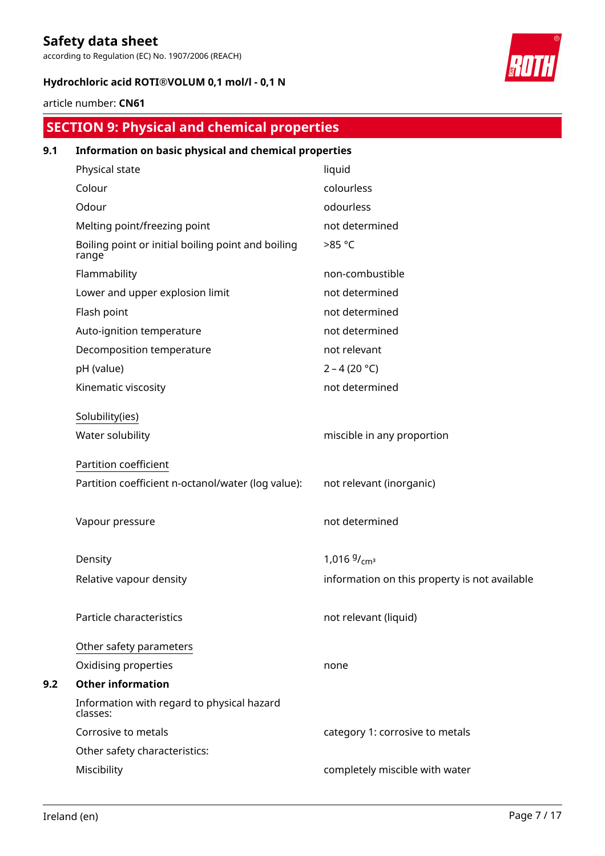according to Regulation (EC) No. 1907/2006 (REACH)

### **Hydrochloric acid ROTI®VOLUM 0,1 mol/l - 0,1 N**



#### article number: **CN61**

# **SECTION 9: Physical and chemical properties**

| 9.1 | Information on basic physical and chemical properties       |                                               |  |  |  |  |  |  |
|-----|-------------------------------------------------------------|-----------------------------------------------|--|--|--|--|--|--|
|     | Physical state                                              | liquid                                        |  |  |  |  |  |  |
|     | Colour                                                      | colourless                                    |  |  |  |  |  |  |
|     | Odour                                                       | odourless                                     |  |  |  |  |  |  |
|     | Melting point/freezing point                                | not determined                                |  |  |  |  |  |  |
|     | Boiling point or initial boiling point and boiling<br>range | >85 °C                                        |  |  |  |  |  |  |
|     | Flammability                                                | non-combustible                               |  |  |  |  |  |  |
|     | Lower and upper explosion limit                             | not determined                                |  |  |  |  |  |  |
|     | Flash point                                                 | not determined                                |  |  |  |  |  |  |
|     | Auto-ignition temperature                                   | not determined                                |  |  |  |  |  |  |
|     | Decomposition temperature                                   | not relevant                                  |  |  |  |  |  |  |
|     | pH (value)                                                  | $2 - 4 (20 °C)$                               |  |  |  |  |  |  |
|     | Kinematic viscosity                                         | not determined                                |  |  |  |  |  |  |
|     | Solubility(ies)                                             |                                               |  |  |  |  |  |  |
|     | Water solubility                                            | miscible in any proportion                    |  |  |  |  |  |  |
|     | Partition coefficient                                       |                                               |  |  |  |  |  |  |
|     | Partition coefficient n-octanol/water (log value):          | not relevant (inorganic)                      |  |  |  |  |  |  |
|     | Vapour pressure                                             | not determined                                |  |  |  |  |  |  |
|     | Density                                                     | 1,016 $9/_{cm^3}$                             |  |  |  |  |  |  |
|     | Relative vapour density                                     | information on this property is not available |  |  |  |  |  |  |
|     | Particle characteristics                                    | not relevant (liquid)                         |  |  |  |  |  |  |
|     | Other safety parameters                                     |                                               |  |  |  |  |  |  |
|     | Oxidising properties                                        | none                                          |  |  |  |  |  |  |
| 9.2 | <b>Other information</b>                                    |                                               |  |  |  |  |  |  |
|     | Information with regard to physical hazard<br>classes:      |                                               |  |  |  |  |  |  |
|     | Corrosive to metals                                         | category 1: corrosive to metals               |  |  |  |  |  |  |
|     | Other safety characteristics:                               |                                               |  |  |  |  |  |  |
|     | Miscibility                                                 | completely miscible with water                |  |  |  |  |  |  |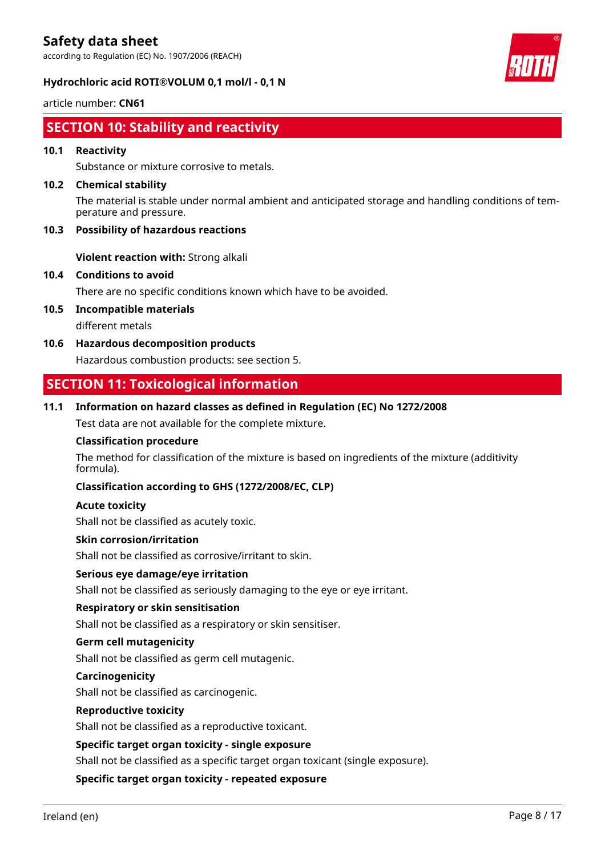according to Regulation (EC) No. 1907/2006 (REACH)

#### **Hydrochloric acid ROTI®VOLUM 0,1 mol/l - 0,1 N**

article number: **CN61**

# **SECTION 10: Stability and reactivity**

#### **10.1 Reactivity**

Substance or mixture corrosive to metals.

#### **10.2 Chemical stability**

The material is stable under normal ambient and anticipated storage and handling conditions of temperature and pressure.

#### **10.3 Possibility of hazardous reactions**

**Violent reaction with:** Strong alkali

#### **10.4 Conditions to avoid**

There are no specific conditions known which have to be avoided.

- **10.5 Incompatible materials** different metals
- **10.6 Hazardous decomposition products** Hazardous combustion products: see section 5.

# **SECTION 11: Toxicological information**

#### **11.1 Information on hazard classes as defined in Regulation (EC) No 1272/2008**

Test data are not available for the complete mixture.

#### **Classification procedure**

The method for classification of the mixture is based on ingredients of the mixture (additivity formula).

#### **Classification according to GHS (1272/2008/EC, CLP)**

#### **Acute toxicity**

Shall not be classified as acutely toxic.

#### **Skin corrosion/irritation**

Shall not be classified as corrosive/irritant to skin.

#### **Serious eye damage/eye irritation**

Shall not be classified as seriously damaging to the eye or eye irritant.

#### **Respiratory or skin sensitisation**

Shall not be classified as a respiratory or skin sensitiser.

#### **Germ cell mutagenicity**

Shall not be classified as germ cell mutagenic.

#### **Carcinogenicity**

Shall not be classified as carcinogenic.

#### **Reproductive toxicity**

Shall not be classified as a reproductive toxicant.

#### **Specific target organ toxicity - single exposure**

Shall not be classified as a specific target organ toxicant (single exposure).

#### **Specific target organ toxicity - repeated exposure**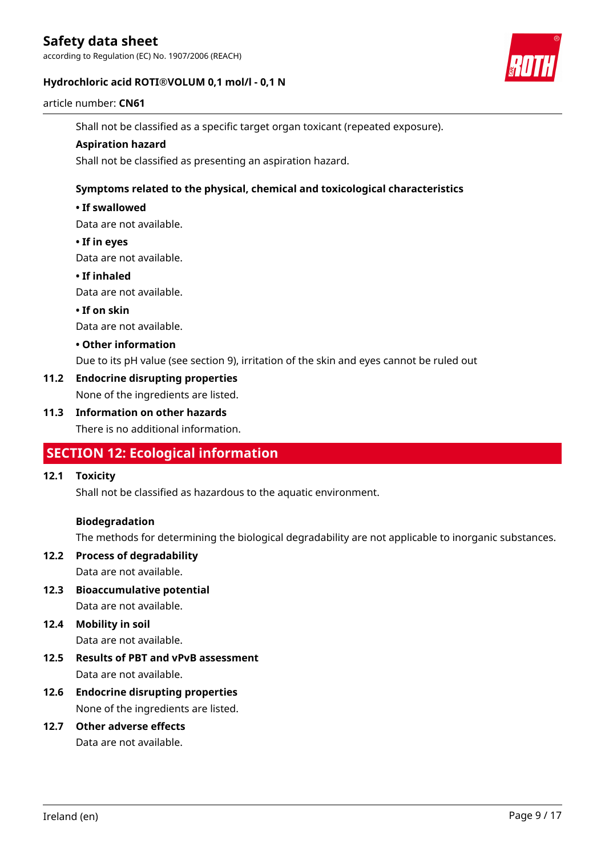according to Regulation (EC) No. 1907/2006 (REACH)

#### **Hydrochloric acid ROTI®VOLUM 0,1 mol/l - 0,1 N**



#### article number: **CN61**

Shall not be classified as a specific target organ toxicant (repeated exposure).

#### **Aspiration hazard**

Shall not be classified as presenting an aspiration hazard.

#### **Symptoms related to the physical, chemical and toxicological characteristics**

#### **• If swallowed**

Data are not available.

#### **• If in eyes**

Data are not available.

#### **• If inhaled**

Data are not available.

#### **• If on skin**

Data are not available.

#### **• Other information**

Due to its pH value (see section 9), irritation of the skin and eyes cannot be ruled out

#### **11.2 Endocrine disrupting properties**

None of the ingredients are listed.

#### **11.3 Information on other hazards**

There is no additional information.

### **SECTION 12: Ecological information**

#### **12.1 Toxicity**

Shall not be classified as hazardous to the aquatic environment.

#### **Biodegradation**

The methods for determining the biological degradability are not applicable to inorganic substances.

#### **12.2 Process of degradability** Data are not available.

**12.3 Bioaccumulative potential** Data are not available.

# **12.4 Mobility in soil**

Data are not available.

- **12.5 Results of PBT and vPvB assessment** Data are not available.
- **12.6 Endocrine disrupting properties** None of the ingredients are listed.

#### **12.7 Other adverse effects**

Data are not available.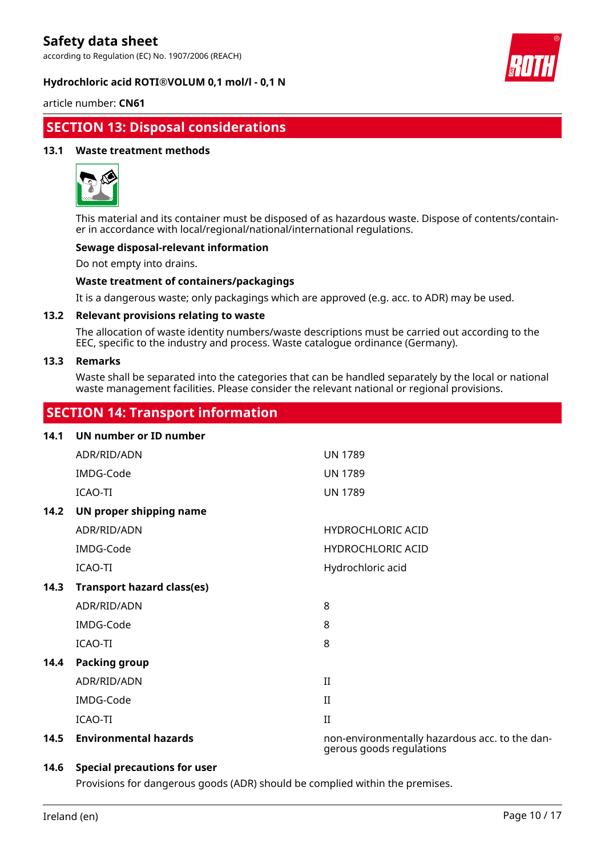according to Regulation (EC) No. 1907/2006 (REACH)

#### **Hydrochloric acid ROTI®VOLUM 0,1 mol/l - 0,1 N**



article number: **CN61**

# **SECTION 13: Disposal considerations**

#### **13.1 Waste treatment methods**



This material and its container must be disposed of as hazardous waste. Dispose of contents/container in accordance with local/regional/national/international regulations.

#### **Sewage disposal-relevant information**

Do not empty into drains.

#### **Waste treatment of containers/packagings**

It is a dangerous waste; only packagings which are approved (e.g. acc. to ADR) may be used.

#### **13.2 Relevant provisions relating to waste**

The allocation of waste identity numbers/waste descriptions must be carried out according to the EEC, specific to the industry and process. Waste catalogue ordinance (Germany).

#### **13.3 Remarks**

Waste shall be separated into the categories that can be handled separately by the local or national waste management facilities. Please consider the relevant national or regional provisions.

### **SECTION 14: Transport information**

| 14.1 | UN number or ID number            |                                                                            |
|------|-----------------------------------|----------------------------------------------------------------------------|
|      | ADR/RID/ADN                       | <b>UN 1789</b>                                                             |
|      | IMDG-Code                         | <b>UN 1789</b>                                                             |
|      | ICAO-TI                           | <b>UN 1789</b>                                                             |
| 14.2 | UN proper shipping name           |                                                                            |
|      | ADR/RID/ADN                       | <b>HYDROCHLORIC ACID</b>                                                   |
|      | IMDG-Code                         | <b>HYDROCHLORIC ACID</b>                                                   |
|      | ICAO-TI                           | Hydrochloric acid                                                          |
| 14.3 | <b>Transport hazard class(es)</b> |                                                                            |
|      | ADR/RID/ADN                       | 8                                                                          |
|      | IMDG-Code                         | 8                                                                          |
|      | ICAO-TI                           | 8                                                                          |
| 14.4 | <b>Packing group</b>              |                                                                            |
|      | ADR/RID/ADN                       | $\rm II$                                                                   |
|      | IMDG-Code                         | $_{\rm II}$                                                                |
|      | ICAO-TI                           | $\mathbf{I}$                                                               |
| 14.5 | <b>Environmental hazards</b>      | non-environmentally hazardous acc. to the dan-<br>gerous goods regulations |

#### **14.6 Special precautions for user**

Provisions for dangerous goods (ADR) should be complied within the premises.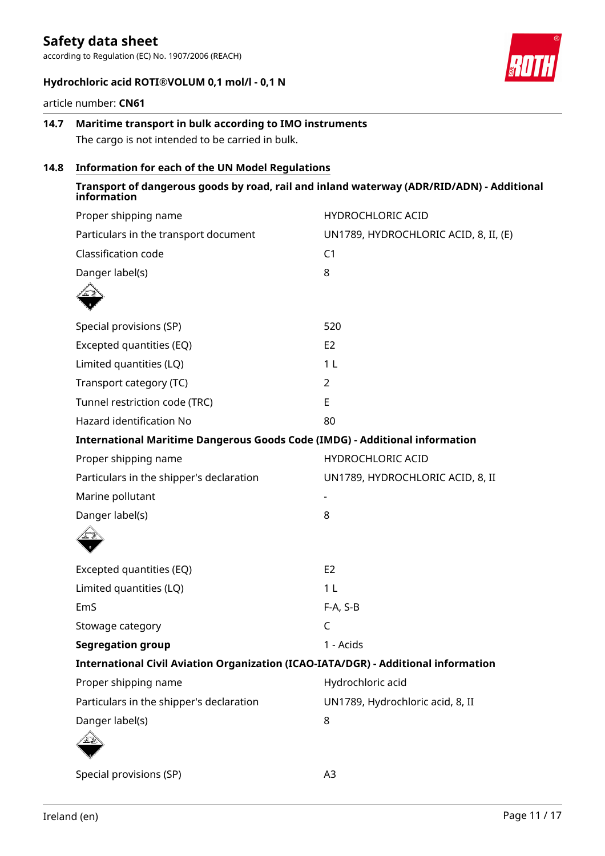according to Regulation (EC) No. 1907/2006 (REACH)



#### **Hydrochloric acid ROTI®VOLUM 0,1 mol/l - 0,1 N**

article number: **CN61**

### **14.7 Maritime transport in bulk according to IMO instruments** The cargo is not intended to be carried in bulk.

### **14.8 Information for each of the UN Model Regulations**

| information                                                                        | Transport of dangerous goods by road, rail and inland waterway (ADR/RID/ADN) - Additional |
|------------------------------------------------------------------------------------|-------------------------------------------------------------------------------------------|
| Proper shipping name                                                               | <b>HYDROCHLORIC ACID</b>                                                                  |
| Particulars in the transport document                                              | UN1789, HYDROCHLORIC ACID, 8, II, (E)                                                     |
| Classification code                                                                | C <sub>1</sub>                                                                            |
| Danger label(s)                                                                    | 8                                                                                         |
|                                                                                    |                                                                                           |
| Special provisions (SP)                                                            | 520                                                                                       |
| Excepted quantities (EQ)                                                           | E <sub>2</sub>                                                                            |
| Limited quantities (LQ)                                                            | 1 <sub>L</sub>                                                                            |
| Transport category (TC)                                                            | $\overline{2}$                                                                            |
| Tunnel restriction code (TRC)                                                      | E                                                                                         |
| Hazard identification No                                                           | 80                                                                                        |
| <b>International Maritime Dangerous Goods Code (IMDG) - Additional information</b> |                                                                                           |
| Proper shipping name                                                               | <b>HYDROCHLORIC ACID</b>                                                                  |
| Particulars in the shipper's declaration                                           | UN1789, HYDROCHLORIC ACID, 8, II                                                          |
| Marine pollutant                                                                   |                                                                                           |
| Danger label(s)                                                                    | 8                                                                                         |
|                                                                                    |                                                                                           |
| Excepted quantities (EQ)                                                           | E <sub>2</sub>                                                                            |
| Limited quantities (LQ)                                                            | 1 <sub>L</sub>                                                                            |
| EmS                                                                                | F-A, S-B                                                                                  |
| Stowage category                                                                   | $\mathsf C$                                                                               |
| <b>Segregation group</b>                                                           | 1 - Acids                                                                                 |
| International Civil Aviation Organization (ICAO-IATA/DGR) - Additional information |                                                                                           |
| Proper shipping name                                                               | Hydrochloric acid                                                                         |
| Particulars in the shipper's declaration                                           | UN1789, Hydrochloric acid, 8, II                                                          |
| Danger label(s)                                                                    | 8                                                                                         |
|                                                                                    |                                                                                           |
| Special provisions (SP)                                                            | A <sub>3</sub>                                                                            |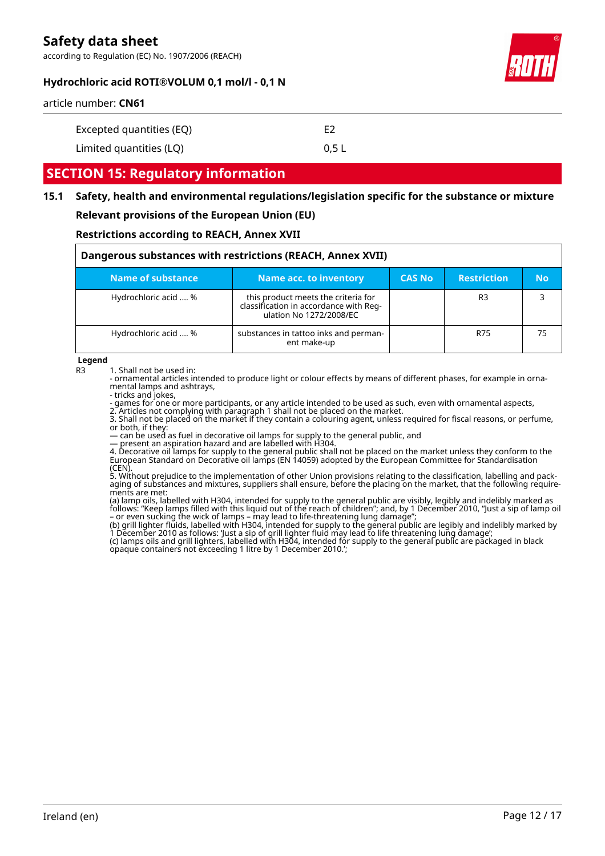according to Regulation (EC) No. 1907/2006 (REACH)



#### **Hydrochloric acid ROTI®VOLUM 0,1 mol/l - 0,1 N**

article number: **CN61**

| Excepted quantities (EQ) | F2    |
|--------------------------|-------|
| Limited quantities (LQ)  | 0.5 L |

### **SECTION 15: Regulatory information**

### **15.1 Safety, health and environmental regulations/legislation specific for the substance or mixture Relevant provisions of the European Union (EU)**

#### **Restrictions according to REACH, Annex XVII**

| Dangerous substances with restrictions (REACH, Annex XVII) |                                                                                                          |               |                    |           |
|------------------------------------------------------------|----------------------------------------------------------------------------------------------------------|---------------|--------------------|-----------|
| Name of substance                                          | Name acc. to inventory                                                                                   | <b>CAS No</b> | <b>Restriction</b> | <b>No</b> |
| Hydrochloric acid  %                                       | this product meets the criteria for<br>classification in accordance with Reg-<br>ulation No 1272/2008/EC |               | R <sub>3</sub>     |           |
| Hydrochloric acid  %                                       | substances in tattoo inks and perman-<br>ent make-up                                                     |               | R75                | 75        |

**Legend**

R3 1. Shall not be used in:

- ornamental articles intended to produce light or colour effects by means of different phases, for example in ornamental lamps and ashtrays,

- tricks and jokes,

- games for one or more participants, or any article intended to be used as such, even with ornamental aspects,

2. Articles not complying with paragraph 1 shall not be placed on the market.

3. Shall not be placed on the market if they contain a colouring agent, unless required for fiscal reasons, or perfume, or both, if they:

— can be used as fuel in decorative oil lamps for supply to the general public, and

— present an aspiration hazard and are labelled with H304.

4. Decorative oil lamps for supply to the general public shall not be placed on the market unless they conform to the European Standard on Decorative oil lamps (EN 14059) adopted by the European Committee for Standardisation (CEN).

5. Without prejudice to the implementation of other Union provisions relating to the classification, labelling and packaging of substances and mixtures, suppliers shall ensure, before the placing on the market, that the following requirements are met:

(a) lamp oils, labelled with H304, intended for supply to the general public are visibly, legibly and indelibly marked as follows: "Keep lamps filled with this liquid out of the reach of children"; and, by 1 December 2010, "Just a sip of lamp oil – or even sucking the wick of lamps – may lead to life-threatening lung damage";

(b) grill lighter fluids, labelled with H304, intended for supply to the general public are legibly and indelibly marked by 1 December 2010 as follows: 'Just a sip of grill lighter fluid may lead to life threatening lung damage'; (c) lamps oils and grill lighters, labelled with H304, intended for supply to the general public are packaged in black opaque containers not exceeding 1 litre by 1 December 2010.';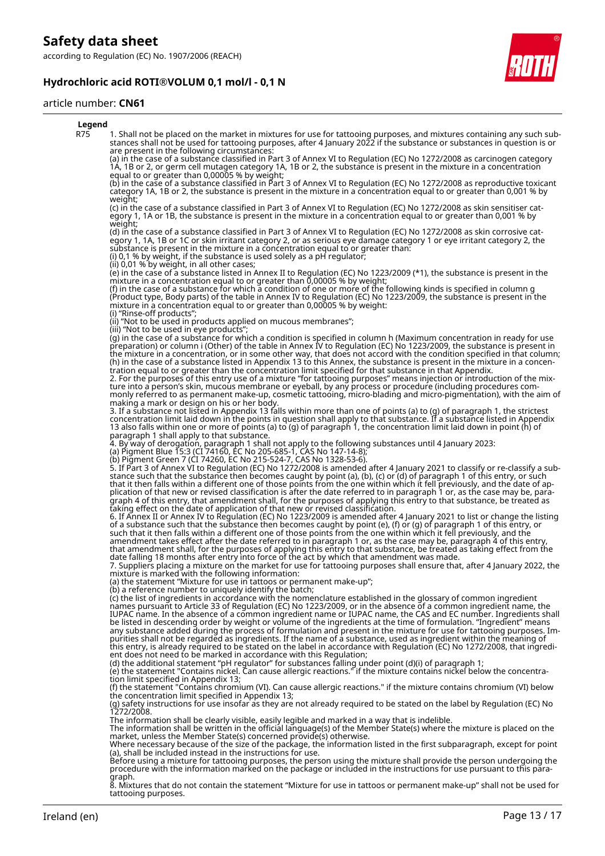according to Regulation (EC) No. 1907/2006 (REACH)

### **Hydrochloric acid ROTI®VOLUM 0,1 mol/l - 0,1 N**



#### article number: **CN61**

| Legend |                                                                                                                                                                                                                                                                                                                                                                                                                                                                                                                                                                                                                                                                                                                                                                                                                                                                                                                                                                                                                                                                               |
|--------|-------------------------------------------------------------------------------------------------------------------------------------------------------------------------------------------------------------------------------------------------------------------------------------------------------------------------------------------------------------------------------------------------------------------------------------------------------------------------------------------------------------------------------------------------------------------------------------------------------------------------------------------------------------------------------------------------------------------------------------------------------------------------------------------------------------------------------------------------------------------------------------------------------------------------------------------------------------------------------------------------------------------------------------------------------------------------------|
| R75    | 1. Shall not be placed on the market in mixtures for use for tattooing purposes, and mixtures containing any such sub-<br>stances shall not be used for tattooing purposes, after 4 January 2022 if the substance or substances in question is or<br>are present in the following circumstances:                                                                                                                                                                                                                                                                                                                                                                                                                                                                                                                                                                                                                                                                                                                                                                              |
|        | (a) in the case of a substance classified in Part 3 of Annex VI to Regulation (EC) No 1272/2008 as carcinogen category<br>1A, 1B or 2, or germ cell mutagen category 1A, 1B or 2, the substance is present in the mixture in a concentration<br>equal to or greater than 0,00005 % by weight;                                                                                                                                                                                                                                                                                                                                                                                                                                                                                                                                                                                                                                                                                                                                                                                 |
|        | (b) in the case of a substance classified in Part 3 of Annex VI to Regulation (EC) No 1272/2008 as reproductive toxicant<br>category 1A, 1B or 2, the substance is present in the mixture in a concentration equal to or greater than 0,001 % by<br>weight;                                                                                                                                                                                                                                                                                                                                                                                                                                                                                                                                                                                                                                                                                                                                                                                                                   |
|        | (c) in the case of a substance classified in Part 3 of Annex VI to Regulation (EC) No 1272/2008 as skin sensitiser cat-<br>egory 1, 1A or 1B, the substance is present in the mixture in a concentration equal to or greater than 0,001 % by<br>weight;                                                                                                                                                                                                                                                                                                                                                                                                                                                                                                                                                                                                                                                                                                                                                                                                                       |
|        | (d) in the case of a substance classified in Part 3 of Annex VI to Regulation (EC) No 1272/2008 as skin corrosive cat-<br>egory 1, 1A, 1B or 1C or skin irritant category 2, or as serious eye damage category 1 or eye irritant category 2, the<br>substance is present in the mixture in a concentration equal to or greater than.<br>(i) 0,1 % by weight, if the substance is used solely as a $p$ H regulator;                                                                                                                                                                                                                                                                                                                                                                                                                                                                                                                                                                                                                                                            |
|        | (ii) 0,01 % by weight, in all other cases;<br>(e) in the case of a substance listed in Annex II to Regulation (EC) No 1223/2009 (*1), the substance is present in the<br>mixture in a concentration equal to or greater than 0,00005 % by weight;                                                                                                                                                                                                                                                                                                                                                                                                                                                                                                                                                                                                                                                                                                                                                                                                                             |
|        | (f) in the case of a substance for which a condition of one or more of the following kinds is specified in column g<br>(Product type, Body parts) of the table in Annex IV to Regulation (EC) No 1223/2009, the substance is present in the<br>mixture in a concentration equal to or greater than 0,00005 % by weight:<br>(i) "Rinse-off products";                                                                                                                                                                                                                                                                                                                                                                                                                                                                                                                                                                                                                                                                                                                          |
|        | (ii) "Not to be used in products applied on mucous membranes";                                                                                                                                                                                                                                                                                                                                                                                                                                                                                                                                                                                                                                                                                                                                                                                                                                                                                                                                                                                                                |
|        | (iii) "Not to be used in eye products";<br>(g) in the case of a substance for which a condition is specified in column h (Maximum concentration in ready for use<br>preparation) or column i (Other) of the table in Annex IV to Regulation (EC) No 1223/2009, the substance is present in<br>the mixture in a concentration, or in some other way, that does not accord with the condition specified in that column;<br>(h) in the case of a substance listed in Appendix 13 to this Annex, the substance is present in the mixture in a concen-<br>tration equal to or greater than the concentration limit specified for that substance in that Appendix.<br>2. For the purposes of this entry use of a mixture "for tattooing purposes" means injection or introduction of the mix-<br>ture into a person's skin, mucous membrane or eyeball, by any process or procedure (including procedures com-<br>monly referred to as permanent make-up, cosmetic tattooing, micro-blading and micro-pigmentation), with the aim of<br>making a mark or design on his or her body. |
|        | 3. If a substance not listed in Appendix 13 falls within more than one of points (a) to (g) of paragraph 1, the strictest<br>concentration limit laid down in the points in question shall apply to that substance. If a substance listed in Appendix<br>13 also falls within one or more of points (a) to (g) of paragraph 1, the concentration limit laid down in point (h) of<br>paragraph 1 shall apply to that substance.                                                                                                                                                                                                                                                                                                                                                                                                                                                                                                                                                                                                                                                |
|        | 4. By way of derogation, paragraph 1 shall not apply to the following substances until 4 January 2023:<br>(a) Pigment Blue 15:3 (CI 74160, EC No 205-685-1, CAS No 147-14-8);                                                                                                                                                                                                                                                                                                                                                                                                                                                                                                                                                                                                                                                                                                                                                                                                                                                                                                 |
|        | (b) Pigment Green 7 (CI 74260, EC No 215-524-7, CAS No 1328-53-6).<br>5. If Part 3 of Annex VI to Regulation (EC) No 1272/2008 is amended after 4 January 2021 to classify or re-classify a sub-<br>stance such that the substance then becomes caught by point (a), (b), (c) or (d) of paragraph 1 of this entry, or such<br>that it then falls within a different one of those points from the one within which it fell previously, and the date of ap-<br>plication of that new or revised classification is after the date referred to in paragraph 1 or, as the case may be, para-<br>graph 4 of this entry, that amendment shall, for the purposes of applying this entry to that substance, be treated as<br>taking effect on the date of application of that new or revised classification.                                                                                                                                                                                                                                                                           |
|        | 6. If Annex II or Annex IV to Regulation (EC) No 1223/2009 is amended after 4 January 2021 to list or change the listing<br>of a substance such that the substance then becomes caught by point (e), (f) or (g) of paragraph 1 of this entry, or<br>such that it then falls within a different one of those points from the one within which it fell previously, and the<br>amendment takes effect after the date referred to in paragraph 1 or, as the case may be, paragraph 4 of this entry,<br>that amendment shall, for the purposes of applying this entry to that substance, be treated as taking effect from the<br>date falling 18 months after entry into force of the act by which that amendment was made.                                                                                                                                                                                                                                                                                                                                                        |
|        | 7. Suppliers placing a mixture on the market for use for tattooing purposes shall ensure that, after 4 January 2022, the<br>mixture is marked with the following information:<br>(a) the statement "Mixture for use in tattoos or permanent make-up";                                                                                                                                                                                                                                                                                                                                                                                                                                                                                                                                                                                                                                                                                                                                                                                                                         |
|        | (b) a reference number to uniquely identify the batch;<br>(c) the list of ingredients in accordance with the nomenclature established in the glossary of common ingredient<br>names pursuant to Article 33 of Regulation (EC) No 1223/2009, or in the absence of a common ingredient name, the<br>IUPAC name. In the absence of a common ingredient name or IUPAC name, the CAS and EC number. Ingredients shall<br>be listed in descending order by weight or volume of the ingredients at the time of formulation. "Ingredient" means<br>any substance added during the process of formulation and present in the mixture for use for tattooing purposes. Im-                                                                                                                                                                                                                                                                                                                                                                                                               |
|        | purities shall not be regarded as ingredients. If the name of a substance, used as ingredient within the meaning of<br>this entry, is already required to be stated on the label in accordance with Regulation (EC) No 1272/2008, that ingredi-<br>ent does not need to be marked in accordance with this Regulation;                                                                                                                                                                                                                                                                                                                                                                                                                                                                                                                                                                                                                                                                                                                                                         |
|        | (d) the additional statement "pH regulator" for substances falling under point (d)(i) of paragraph 1;<br>(e) the statement "Contains nickel. Can cause allergic reactions." if the mixture contains nickel below the concentra-<br>tion limit specified in Appendix 13;                                                                                                                                                                                                                                                                                                                                                                                                                                                                                                                                                                                                                                                                                                                                                                                                       |
|        | (f) the statement "Contains chromium (VI). Can cause allergic reactions." if the mixture contains chromium (VI) below<br>the concentration limit specified in Appendix 13;<br>(g) safety instructions for use insofar as they are not already required to be stated on the label by Requlation (EC) No<br>1272/2008.                                                                                                                                                                                                                                                                                                                                                                                                                                                                                                                                                                                                                                                                                                                                                          |
|        | The information shall be clearly visible, easily legible and marked in a way that is indelible.<br>The information shall be written in the official language(s) of the Member State(s) where the mixture is placed on the<br>market, unless the Member State(s) concerned provide(s) otherwise.                                                                                                                                                                                                                                                                                                                                                                                                                                                                                                                                                                                                                                                                                                                                                                               |
|        | Where necessary because of the size of the package, the information listed in the first subparagraph, except for point<br>(a), shall be included instead in the instructions for use.<br>Before using a mixture for tattooing purposes, the person using the mixture shall provide the person undergoing the                                                                                                                                                                                                                                                                                                                                                                                                                                                                                                                                                                                                                                                                                                                                                                  |
|        | procedure with the information marked on the package or included in the instructions for use pursuant to this para-<br>graph.<br>8. Mixtures that do not contain the statement "Mixture for use in tattoos or permanent make-up" shall not be used for                                                                                                                                                                                                                                                                                                                                                                                                                                                                                                                                                                                                                                                                                                                                                                                                                        |
|        |                                                                                                                                                                                                                                                                                                                                                                                                                                                                                                                                                                                                                                                                                                                                                                                                                                                                                                                                                                                                                                                                               |

8. Mixtures that do not contain the statement "Mixture for use in tattoos or permanent make-up" shall not be used for tattooing purposes.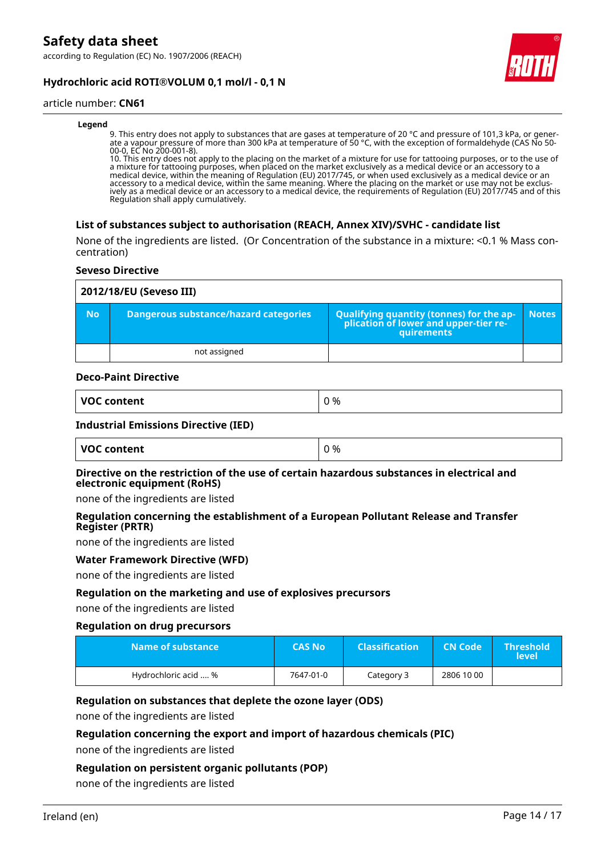according to Regulation (EC) No. 1907/2006 (REACH)





#### article number: **CN61**

#### **Legend**

9. This entry does not apply to substances that are gases at temperature of 20 °C and pressure of 101,3 kPa, or generate a vapour pressure of more than 300 kPa at temperature of 50 °C, with the exception of formaldehyde (CAS No 50- 00-0, EC No 200-001-8).

10. This entry does not apply to the placing on the market of a mixture for use for tattooing purposes, or to the use of a mixture for tattooing purposes, when placed on the market exclusively as a medical device or an accessory to a medical device, within the meaning of Regulation (EU) 2017/745, or when used exclusively as a medical device or an accessory to a medical device, within the same meaning. Where the placing on the market or use may not be exclusively as a medical device or an accessory to a medical device, the requirements of Regulation (EU) 2017/745 and of this Regulation shall apply cumulatively.

#### **List of substances subject to authorisation (REACH, Annex XIV)/SVHC - candidate list**

None of the ingredients are listed. (Or Concentration of the substance in a mixture: <0.1 % Mass concentration)

#### **Seveso Directive**

|           | 2012/18/EU (Seveso III)               |                                                                                                        |              |  |
|-----------|---------------------------------------|--------------------------------------------------------------------------------------------------------|--------------|--|
| <b>No</b> | Dangerous substance/hazard categories | Qualifying quantity (tonnes) for the ap-<br>plication of lower and upper-tier re-<br><b>quirements</b> | <b>Notes</b> |  |
|           | not assigned                          |                                                                                                        |              |  |

#### **Deco-Paint Directive**

| <b>VOC</b> | % |
|------------|---|
| content    | - |
| , <b>.</b> | ັ |

#### **Industrial Emissions Directive (IED)**

| VOC content | ገ % |
|-------------|-----|
|-------------|-----|

#### **Directive on the restriction of the use of certain hazardous substances in electrical and electronic equipment (RoHS)**

none of the ingredients are listed

#### **Regulation concerning the establishment of a European Pollutant Release and Transfer Register (PRTR)**

none of the ingredients are listed

#### **Water Framework Directive (WFD)**

none of the ingredients are listed

#### **Regulation on the marketing and use of explosives precursors**

none of the ingredients are listed

#### **Regulation on drug precursors**

| Name of substance    | <b>CAS No</b> | <b>Classification</b> | <b>CN Code</b> | <b>Threshold</b><br><b>level</b> |
|----------------------|---------------|-----------------------|----------------|----------------------------------|
| Hydrochloric acid  % | 7647-01-0     | Category 3            | 2806 10 00     |                                  |

#### **Regulation on substances that deplete the ozone layer (ODS)**

none of the ingredients are listed

#### **Regulation concerning the export and import of hazardous chemicals (PIC)**

none of the ingredients are listed

### **Regulation on persistent organic pollutants (POP)**

none of the ingredients are listed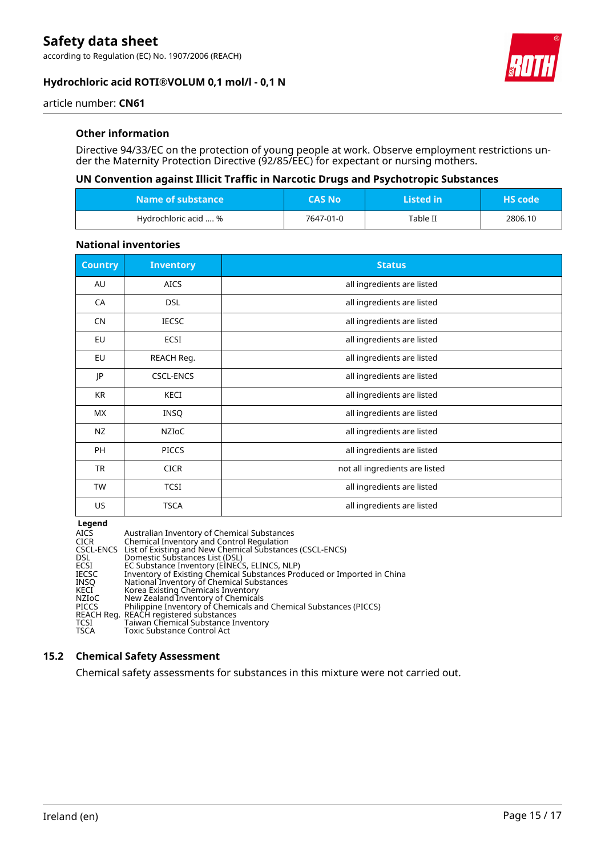according to Regulation (EC) No. 1907/2006 (REACH)

#### **Hydrochloric acid ROTI®VOLUM 0,1 mol/l - 0,1 N**



article number: **CN61**

#### **Other information**

Directive 94/33/EC on the protection of young people at work. Observe employment restrictions under the Maternity Protection Directive (92/85/EEC) for expectant or nursing mothers.

### **UN Convention against Illicit Traffic in Narcotic Drugs and Psychotropic Substances**

| ا Name of substance ا | <b>CAS No</b> | <b>Listed in</b> | <b>HS</b> code |
|-----------------------|---------------|------------------|----------------|
| Hydrochloric acid  %  | 7647-01-0     | Table II         | 2806.10        |

#### **National inventories**

| <b>Country</b> | <b>Inventory</b> | <b>Status</b>                  |
|----------------|------------------|--------------------------------|
| AU             | <b>AICS</b>      | all ingredients are listed     |
| CA             | <b>DSL</b>       | all ingredients are listed     |
| <b>CN</b>      | <b>IECSC</b>     | all ingredients are listed     |
| EU             | ECSI             | all ingredients are listed     |
| <b>EU</b>      | REACH Reg.       | all ingredients are listed     |
| JP             | <b>CSCL-ENCS</b> | all ingredients are listed     |
| <b>KR</b>      | <b>KECI</b>      | all ingredients are listed     |
| <b>MX</b>      | <b>INSQ</b>      | all ingredients are listed     |
| NZ             | <b>NZIOC</b>     | all ingredients are listed     |
| <b>PH</b>      | <b>PICCS</b>     | all ingredients are listed     |
| TR             | <b>CICR</b>      | not all ingredients are listed |
| <b>TW</b>      | <b>TCSI</b>      | all ingredients are listed     |
| US             | <b>TSCA</b>      | all ingredients are listed     |

**Legend**

| <b>AICS</b>  | Australian Inventory of Chemical Substances                             |
|--------------|-------------------------------------------------------------------------|
| <b>CICR</b>  | Chemical Inventory and Control Regulation                               |
|              | CSCL-ENCS List of Existing and New Chemical Substances (CSCL-ENCS)      |
| <b>DSL</b>   | Domestic Substances List (DSL)                                          |
| ECSI         | EC Substance Inventory (EINECS, ELINCS, NLP)                            |
| <b>IECSC</b> | Inventory of Existing Chemical Substances Produced or Imported in China |
| <b>INSO</b>  | National Inventory of Chemical Substances                               |
| KECI         | Korea Existing Chemicals Inventory                                      |
| NZIoC        | New Zealand Inventory of Chemicals                                      |
| <b>PICCS</b> | Philippine Inventory of Chemicals and Chemical Substances (PICCS)       |
|              | REACH Reg. REACH registered substances                                  |
| <b>TCSI</b>  | Taiwan Chemical Substance Inventory                                     |
| <b>TSCA</b>  | Toxic Substance Control Act                                             |

#### **15.2 Chemical Safety Assessment**

Chemical safety assessments for substances in this mixture were not carried out.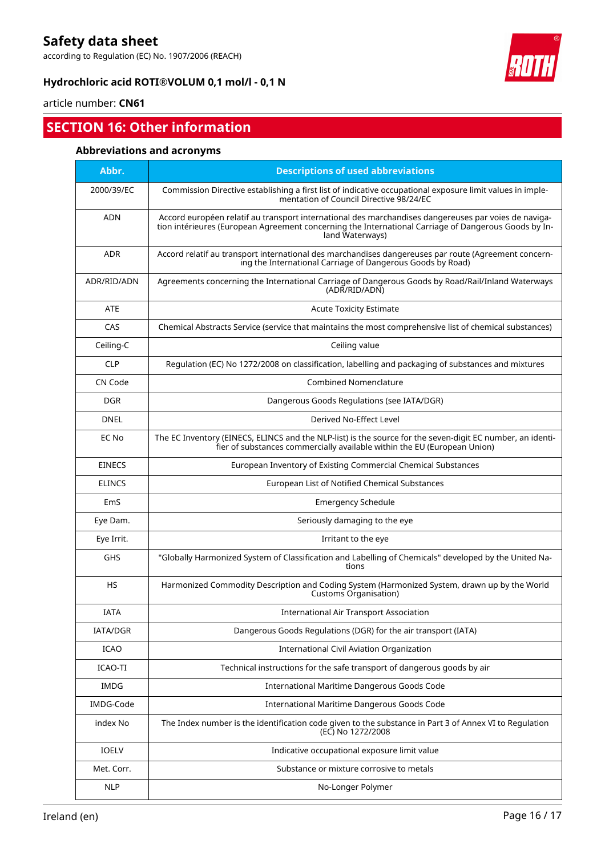according to Regulation (EC) No. 1907/2006 (REACH)

### **Hydrochloric acid ROTI®VOLUM 0,1 mol/l - 0,1 N**



# article number: **CN61**

# **SECTION 16: Other information**

### **Abbreviations and acronyms**

| Abbr.         | <b>Descriptions of used abbreviations</b>                                                                                                                                                                                       |
|---------------|---------------------------------------------------------------------------------------------------------------------------------------------------------------------------------------------------------------------------------|
| 2000/39/EC    | Commission Directive establishing a first list of indicative occupational exposure limit values in imple-<br>mentation of Council Directive 98/24/EC                                                                            |
| <b>ADN</b>    | Accord européen relatif au transport international des marchandises dangereuses par voies de naviga-<br>tion intérieures (European Agreement concerning the International Carriage of Dangerous Goods by In-<br>land Waterways) |
| <b>ADR</b>    | Accord relatif au transport international des marchandises dangereuses par route (Agreement concern-<br>ing the International Carriage of Dangerous Goods by Road)                                                              |
| ADR/RID/ADN   | Agreements concerning the International Carriage of Dangerous Goods by Road/Rail/Inland Waterways<br>(ADR/RID/ADN)                                                                                                              |
| <b>ATE</b>    | <b>Acute Toxicity Estimate</b>                                                                                                                                                                                                  |
| CAS           | Chemical Abstracts Service (service that maintains the most comprehensive list of chemical substances)                                                                                                                          |
| Ceiling-C     | Ceiling value                                                                                                                                                                                                                   |
| <b>CLP</b>    | Regulation (EC) No 1272/2008 on classification, labelling and packaging of substances and mixtures                                                                                                                              |
| CN Code       | <b>Combined Nomenclature</b>                                                                                                                                                                                                    |
| <b>DGR</b>    | Dangerous Goods Regulations (see IATA/DGR)                                                                                                                                                                                      |
| <b>DNEL</b>   | Derived No-Effect Level                                                                                                                                                                                                         |
| EC No         | The EC Inventory (EINECS, ELINCS and the NLP-list) is the source for the seven-digit EC number, an identi-<br>fier of substances commercially available within the EU (European Union)                                          |
| <b>EINECS</b> | European Inventory of Existing Commercial Chemical Substances                                                                                                                                                                   |
| <b>ELINCS</b> | European List of Notified Chemical Substances                                                                                                                                                                                   |
| EmS           | <b>Emergency Schedule</b>                                                                                                                                                                                                       |
| Eye Dam.      | Seriously damaging to the eye                                                                                                                                                                                                   |
| Eye Irrit.    | Irritant to the eye                                                                                                                                                                                                             |
| GHS           | "Globally Harmonized System of Classification and Labelling of Chemicals" developed by the United Na-<br>tions                                                                                                                  |
| <b>HS</b>     | Harmonized Commodity Description and Coding System (Harmonized System, drawn up by the World<br><b>Customs Organisation)</b>                                                                                                    |
| <b>IATA</b>   | International Air Transport Association                                                                                                                                                                                         |
| IATA/DGR      | Dangerous Goods Regulations (DGR) for the air transport (IATA)                                                                                                                                                                  |
| <b>ICAO</b>   | International Civil Aviation Organization                                                                                                                                                                                       |
| ICAO-TI       | Technical instructions for the safe transport of dangerous goods by air                                                                                                                                                         |
| <b>IMDG</b>   | International Maritime Dangerous Goods Code                                                                                                                                                                                     |
| IMDG-Code     | International Maritime Dangerous Goods Code                                                                                                                                                                                     |
| index No      | The Index number is the identification code given to the substance in Part 3 of Annex VI to Regulation<br>(EC) No 1272/2008                                                                                                     |
| IOELV         | Indicative occupational exposure limit value                                                                                                                                                                                    |
| Met. Corr.    | Substance or mixture corrosive to metals                                                                                                                                                                                        |
| <b>NLP</b>    | No-Longer Polymer                                                                                                                                                                                                               |